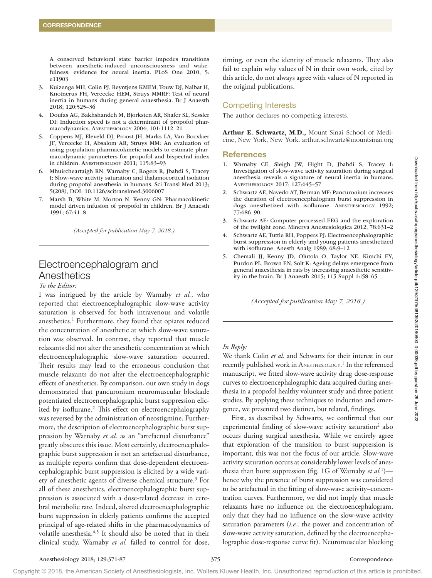A conserved behavioral state barrier impedes transitions between anesthetic-induced unconsciousness and wakefulness: evidence for neural inertia. PLoS One 2010; 5: e11903

- 3. Kuizenga MH, Colin PJ, Reyntjens KMEM, Touw DJ, Nalbat H, Knotnerus FH, Vereecke HEM, Struys MMRF: Test of neural inertia in humans during general anaesthesia. Br J Anaesth 2018; 120:525–36
- 4. Doufas AG, Bakhshandeh M, Bjorksten AR, Shafer SL, Sessler DI: Induction speed is not a determinant of propofol pharmacodynamics. ANESTHESIOLOGY 2004; 101:1112–21
- 5. Coppens MJ, Eleveld DJ, Proost JH, Marks LA, Van Bocxlaer JF, Vereecke H, Absalom AR, Struys MM: An evaluation of using population pharmacokinetic models to estimate pharmacodynamic parameters for propofol and bispectral index in children. ANESTHESIOLOGY 2011; 115:83–93
- 6. Mhuircheartaigh RN, Warnaby C, Rogers R, Jbabdi S, Tracey I: Slow-wave activity saturation and thalamocortical isolation during propofol anesthesia in humans. Sci Transl Med 2013; 5(208), DOI: 10.1126/scitranslmed.3006007
- 7. Marsh B, White M, Morton N, Kenny GN: Pharmacokinetic model driven infusion of propofol in children. Br J Anaesth 1991; 67:41–8

*(Accepted for publication May 7, 2018.)*

# Electroencephalogram and Anesthetics

#### *To the Editor:*

I was intrigued by the article by Warnaby *et al.*, who reported that electroencephalographic slow-wave activity saturation is observed for both intravenous and volatile anesthetics.<sup>1</sup> Furthermore, they found that opiates reduced the concentration of anesthetic at which slow-wave saturation was observed. In contrast, they reported that muscle relaxants did not alter the anesthetic concentration at which electroencephalographic slow-wave saturation occurred. Their results may lead to the erroneous conclusion that muscle relaxants do not alter the electroencephalographic effects of anesthetics. By comparison, our own study in dogs demonstrated that pancuronium neuromuscular blockade potentiated electroencephalographic burst suppression elicited by isoflurane.<sup>2</sup> This effect on electroencephalography was reversed by the administration of neostigmine. Furthermore, the description of electroencephalographic burst suppression by Warnaby *et al.* as an "artefactual disturbance" greatly obscures this issue. Most certainly, electroencephalographic burst suppression is not an artefactual disturbance, as multiple reports confirm that dose-dependent electroencephalographic burst suppression is elicited by a wide variety of anesthetic agents of diverse chemical structure.3 For all of these anesthetics, electroencephalographic burst suppression is associated with a dose-related decrease in cerebral metabolic rate. Indeed, altered electroencephalographic burst suppression in elderly patients confirms the accepted principal of age-related shifts in the pharmacodynamics of volatile anesthesia.<sup>4,5</sup> It should also be noted that in their clinical study, Warnaby *et al.* failed to control for dose,

timing, or even the identity of muscle relaxants. They also fail to explain why values of N in their own work, cited by this article, do not always agree with values of N reported in the original publications.

## Competing Interests

The author declares no competing interests.

Arthur E. Schwartz, M.D., Mount Sinai School of Medicine, New York, New York. [arthur.schwartz@mountsinai.org](mailto:arthur.schwartz@mountsinai.org)

#### **References**

- 1. Warnaby CE, Sleigh JW, Hight D, Jbabdi S, Tracey I: Investigation of slow-wave activity saturation during surgical anesthesia reveals a signature of neural inertia in humans. ANESTHESIOLOGY 2017; 127:645–57
- 2. Schwartz AE, Navedo AT, Berman MF: Pancuronium increases the duration of electroencephalogram burst suppression in dogs anesthetized with isoflurane. ANESTHESIOLOGY 1992; 77:686–90
- 3. Schwartz AE: Computer processed EEG and the exploration of the twilight zone. Minerva Anestesiologica 2012; 78:631–2
- 4. Schwartz AE, Tuttle RH, Poppers PJ: Electroencephalographic burst suppression in elderly and young patients anesthetized with isoflurane. Anesth Analg 1989; 68:9–12
- 5. Chemali JJ, Kenny JD, Olutola O, Taylor NE, Kimchi EY, Purdon PL, Brown EN, Solt K: Ageing delays emergence from general anaesthesia in rats by increasing anaesthetic sensitivity in the brain. Br J Anaesth 2015; 115 Suppl 1:i58–65

*(Accepted for publication May 7, 2018.)*

### *In Reply:*

We thank Colin *et al.* and Schwartz for their interest in our recently published work in ANESTHESIOLOGY.<sup>1</sup> In the referenced manuscript, we fitted slow-wave activity drug dose-response curves to electroencephalographic data acquired during anesthesia in a propofol healthy volunteer study and three patient studies. By applying these techniques to induction and emergence, we presented two distinct, but related, findings.

First, as described by Schwartz, we confirmed that our experimental finding of slow-wave activity saturation<sup>2</sup> also occurs during surgical anesthesia. While we entirely agree that exploration of the transition to burst suppression is important, this was not the focus of our article. Slow-wave activity saturation occurs at considerably lower levels of anesthesia than burst suppression (fig. 1G of Warnaby et al.<sup>1</sup>) hence why the presence of burst suppression was considered to be artefactual in the fitting of slow-wave activity–concentration curves. Furthermore, we did not imply that muscle relaxants have no influence on the electroencephalogram, only that they had no influence on the slow-wave activity saturation parameters (*i.e.,* the power and concentration of slow-wave activity saturation, defined by the electroencephalographic dose-response curve fit). Neuromuscular blocking

Copyright © 2018, the American Society of Anesthesiologists, Inc. Wolters Kluwer Health, Inc. Unauthorized reproduction of this article is prohibited.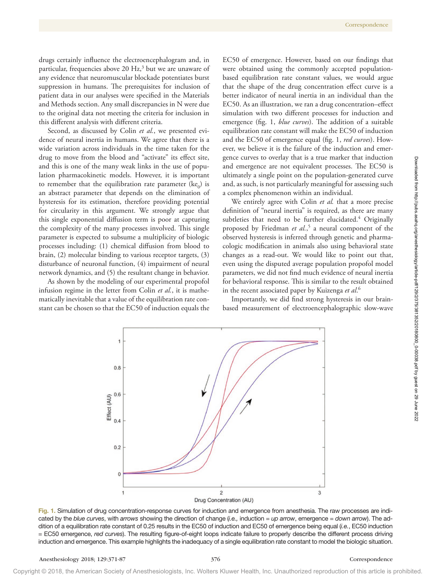drugs certainly influence the electroencephalogram and, in particular, frequencies above 20 Hz,<sup>3</sup> but we are unaware of any evidence that neuromuscular blockade potentiates burst suppression in humans. The prerequisites for inclusion of patient data in our analyses were specified in the Materials and Methods section. Any small discrepancies in N were due to the original data not meeting the criteria for inclusion in this different analysis with different criteria.

Second, as discussed by Colin *et al.*, we presented evidence of neural inertia in humans. We agree that there is a wide variation across individuals in the time taken for the drug to move from the blood and "activate" its effect site, and this is one of the many weak links in the use of population pharmacokinetic models. However, it is important to remember that the equilibration rate parameter  $(ke_0)$  is an abstract parameter that depends on the elimination of hysteresis for its estimation, therefore providing potential for circularity in this argument. We strongly argue that this single exponential diffusion term is poor at capturing the complexity of the many processes involved. This single parameter is expected to subsume a multiplicity of biologic processes including: (1) chemical diffusion from blood to brain, (2) molecular binding to various receptor targets, (3) disturbance of neuronal function, (4) impairment of neural network dynamics, and (5) the resultant change in behavior.

As shown by the modeling of our experimental propofol infusion regime in the letter from Colin *et al.*, it is mathematically inevitable that a value of the equilibration rate constant can be chosen so that the EC50 of induction equals the EC50 of emergence. However, based on our findings that were obtained using the commonly accepted populationbased equilibration rate constant values, we would argue that the shape of the drug concentration effect curve is a better indicator of neural inertia in an individual than the EC50. As an illustration, we ran a drug concentration–effect simulation with two different processes for induction and emergence (fig. 1, *blue curves*). The addition of a suitable equilibration rate constant will make the EC50 of induction and the EC50 of emergence equal (fig. 1, *red curves*). However, we believe it is the failure of the induction and emergence curves to overlay that is a true marker that induction and emergence are not equivalent processes. The EC50 is ultimately a single point on the population-generated curve and, as such, is not particularly meaningful for assessing such a complex phenomenon within an individual.

We entirely agree with Colin *et al.* that a more precise definition of "neural inertia" is required, as there are many subtleties that need to be further elucidated.<sup>4</sup> Originally proposed by Friedman *et al.*, 5 a neural component of the observed hysteresis is inferred through genetic and pharmacologic modification in animals also using behavioral state changes as a read-out. We would like to point out that, even using the disputed average population propofol model parameters, we did not find much evidence of neural inertia for behavioral response. This is similar to the result obtained in the recent associated paper by Kuizenga *et al*. 6

Importantly, we did find strong hysteresis in our brainbased measurement of electroencephalographic slow-wave

Fig. 1. Simulation of drug concentration-response curves for induction and emergence from anesthesia. The raw processes are indicated by the *blue curves*, with *arrows* showing the direction of change (*i.e.,* induction = *up arrow*, emergence = *down arrow*). The addition of a equilibration rate constant of 0.25 results in the EC50 of induction and EC50 of emergence being equal (*i.e.*, EC50 induction = EC50 emergence, *red curves*). The resulting figure-of-eight loops indicate failure to properly describe the different process driving induction and emergence. This example highlights the inadequacy of a single equilibration rate constant to model the biologic situation.



Downloaded from http://pubs.asahq.org/anesthesiology/article-ptf/129/2/375/381352/20180800\_0-00038.pdf by guest on 29 June 2022 Downloaded from http://pubs.asahq.org/anesthesiology/article-pdf/129/2/375/381352/20180800\_0-00038.pdf by guest on 29 June 2022

Copyright © 2018, the American Society of Anesthesiologists, Inc. Wolters Kluwer Health, Inc. Unauthorized reproduction of this article is prohibited.